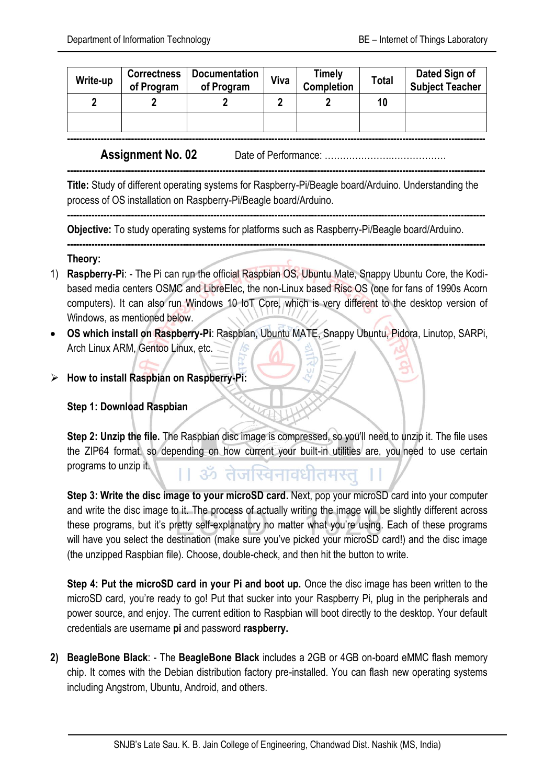| Write-up | <b>Correctness</b><br>of Program | <b>Documentation</b><br>of Program | Viva | Timely<br>Completion | <b>Total</b> | Dated Sign of<br>Subject Teacher |
|----------|----------------------------------|------------------------------------|------|----------------------|--------------|----------------------------------|
|          |                                  |                                    |      |                      | 10           |                                  |
|          |                                  |                                    |      |                      |              |                                  |
|          |                                  |                                    |      |                      |              |                                  |

**Assignment No. 02** Date of Performance: ………………….………………

**Title:** Study of different operating systems for Raspberry-Pi/Beagle board/Arduino. Understanding the process of OS installation on Raspberry-Pi/Beagle board/Arduino.

**-----------------------------------------------------------------------------------------------------------------------------------------**

**-----------------------------------------------------------------------------------------------------------------------------------------**

**-----------------------------------------------------------------------------------------------------------------------------------------**

**Objective:** To study operating systems for platforms such as Raspberry-Pi/Beagle board/Arduino.

## **Theory:**

- 1) **Raspberry-Pi**: The Pi can run the official Raspbian OS, Ubuntu Mate, Snappy Ubuntu Core, the Kodibased media centers OSMC and LibreElec, the non-Linux based Risc OS (one for fans of 1990s Acorn computers). It can also run [Windows 10 IoT Core,](https://www.techrepublic.com/article/how-to-set-up-windows-10-on-the-raspberry-pi/) which is very different to the desktop version of Windows, as mentioned below.
- **OS which install on Raspberry-Pi**: Raspbian, Ubuntu MATE, Snappy Ubuntu, Pidora, Linutop, SARPi, Arch Linux ARM, Gentoo Linux, etc.
- **How to install Raspbian on Raspberry-Pi:**

## **Step 1: Download Raspbian**

**Step 2: Unzip the file.** The Raspbian disc image is compressed, so you'll need to unzip it. The file uses the ZIP64 format, so depending on how current your built-in utilities are, you need to use certain programs to unzip it. ।। ॐ तेजस्विनावधीतमस्तू

**Step 3: Write the disc image to your microSD card.** Next, pop your microSD card into your computer and write the disc image to it. The process of actually writing the image will be slightly different across these programs, but it's pretty self-explanatory no matter what you're using. Each of these programs will have you select the destination (make sure you've picked your microSD card!) and the disc image (the unzipped Raspbian file). Choose, double-check, and then hit the button to write.

**Step 4: Put the microSD card in your Pi and boot up.** Once the disc image has been written to the microSD card, you're ready to go! Put that sucker into your Raspberry Pi, plug in the peripherals and power source, and enjoy. The current edition to Raspbian will boot directly to the desktop. Your default credentials are username **pi** and password **raspberry.**

**2) BeagleBone Black**: - The **BeagleBone Black** includes a 2GB or 4GB on-board eMMC flash memory chip. It comes with the Debian distribution factory pre-installed. You can flash new operating systems including Angstrom, Ubuntu, Android, and others.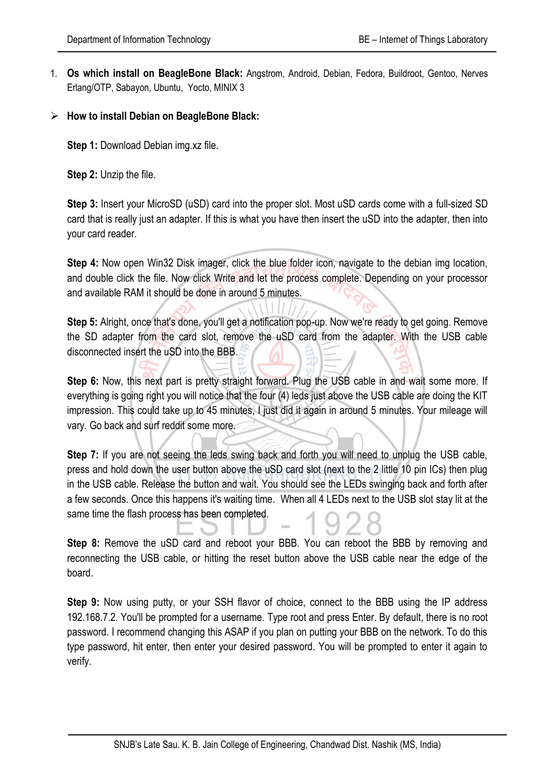- 1. **Os which install on BeagleBone Black:** [Angstrom,](https://elinux.org/BeagleBone_Operating_Systems#Angstrom) [Android](https://elinux.org/BeagleBone_Operating_Systems#Android)[, Debian,](https://elinux.org/BeagleBone_Operating_Systems#Debian) [Fedora,](https://elinux.org/BeagleBone_Operating_Systems#Fedora) [Buildroot,](https://elinux.org/BeagleBone_Operating_Systems#Buildroot) [Gentoo,](https://elinux.org/BeagleBone_Operating_Systems#Gentoo) [Nerves](https://elinux.org/BeagleBone_Operating_Systems#Nerves_Erlang.2FOTP)  [Erlang/OTP,](https://elinux.org/BeagleBone_Operating_Systems#Nerves_Erlang.2FOTP) [Sabayon,](https://elinux.org/BeagleBone_Operating_Systems#Sabayon) [Ubuntu,](https://elinux.org/BeagleBone_Operating_Systems#Ubuntu) [Yocto,](https://elinux.org/BeagleBone_Operating_Systems#Yocto) [MINIX 3](https://elinux.org/BeagleBone_Operating_Systems#MINIX_3)
- **How to install Debian on BeagleBone Black:**

**Step 1: Download Debian img.xz file.** 

**Step 2:** Unzip the file.

**Step 3:** Insert your MicroSD (uSD) card into the proper slot. Most uSD cards come with a full-sized SD card that is really just an adapter. If this is what you have then insert the uSD into the adapter, then into your card reader.

**Step 4:** Now open Win32 Disk imager, click the blue folder icon, navigate to the debian img location, and double click the file. Now click Write and let the process complete. Depending on your processor and available RAM it should be done in around 5 minutes.

**Step 5:** Alright, once that's done, you'll get a notification pop-up. Now we're ready to get going. Remove the SD adapter from the card slot, remove the uSD card from the adapter. With the USB cable disconnected insert the uSD into the BBB.

**Step 6:** Now, this next part is pretty straight forward. Plug the USB cable in and wait some more. If everything is going right you will notice that the four (4) leds just above the USB cable are doing the KIT impression. This could take up to 45 minutes, I just did it again in around 5 minutes. Your mileage will vary. Go back and surf reddit some more.

**Step 7:** If you are not seeing the leds swing back and forth you will need to unplug the USB cable, press and hold down the user button above the uSD card slot (next to the 2 little 10 pin ICs) then plug in the USB cable. Release the button and wait. You should see the LEDs swinging back and forth after a few seconds. Once this happens it's waiting time. When all 4 LEDs next to the USB slot stay lit at the same time the flash process has been completed.

**Step 8:** Remove the uSD card and reboot your BBB. You can reboot the BBB by removing and reconnecting the USB cable, or hitting the reset button above the USB cable near the edge of the board.

**Step 9:** Now using putty, or your SSH flavor of choice, connect to the BBB using the IP address 192.168.7.2. You'll be prompted for a username. Type root and press Enter. By default, there is no root password. I recommend changing this ASAP if you plan on putting your BBB on the network. To do this type password, hit enter, then enter your desired password. You will be prompted to enter it again to verify.